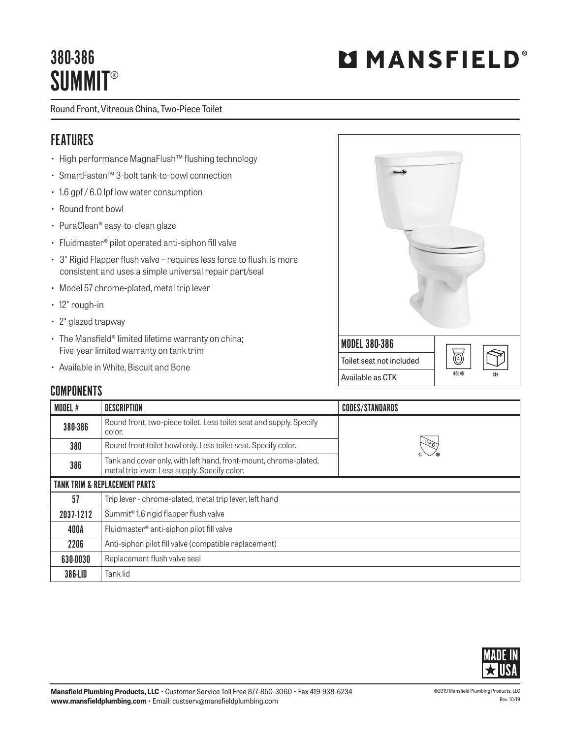## 380-386 **SUMMIT®**

# **MMANSFIELD**

Round Front, Vitreous China, Two-Piece Toilet

#### FEATURES

- High performance MagnaFlush™ flushing technology
- SmartFasten™ 3-bolt tank-to-bowl connection
- 1.6 gpf / 6.0 lpf low water consumption
- Round front bowl
- PuraClean® easy-to-clean glaze
- Fluidmaster® pilot operated anti-siphon fill valve
- 3" Rigid Flapper flush valve requires less force to flush, is more consistent and uses a simple universal repair part/seal
- Model 57 chrome-plated, metal trip lever
- 12" rough-in
- 2" glazed trapway
- The Mansfield® limited lifetime warranty on china; Five-year limited warranty on tank trim
- Available in White, Biscuit and Bone

#### **COMPONENTS**

| <b>MODEL 380-386</b>     |              |
|--------------------------|--------------|
| Toilet seat not included | ်င           |
| Available as CTK         | ROUND<br>CTK |

| <b>MODEL#</b> | <b>DESCRIPTION</b>                                                                                                | <b>CODES/STANDARDS</b> |  |  |
|---------------|-------------------------------------------------------------------------------------------------------------------|------------------------|--|--|
| 380-386       | Round front, two-piece toilet. Less toilet seat and supply. Specify<br>color.                                     |                        |  |  |
| 380           | Round front toilet bowl only. Less toilet seat. Specify color.                                                    | $\sqrt{6}$             |  |  |
| 386           | Tank and cover only, with left hand, front-mount, chrome-plated,<br>metal trip lever. Less supply. Specify color. |                        |  |  |
|               | <b>TANK TRIM &amp; REPLACEMENT PARTS</b>                                                                          |                        |  |  |
| 57            | Trip lever - chrome-plated, metal trip lever, left hand                                                           |                        |  |  |
| 2037-1212     | Summit <sup>®</sup> 1.6 rigid flapper flush valve                                                                 |                        |  |  |
| 400A          | Fluidmaster® anti-siphon pilot fill valve                                                                         |                        |  |  |
| 2206          | Anti-siphon pilot fill valve (compatible replacement)                                                             |                        |  |  |
| 630-0030      | Replacement flush valve seal                                                                                      |                        |  |  |
| 386-LID       | Tank lid                                                                                                          |                        |  |  |